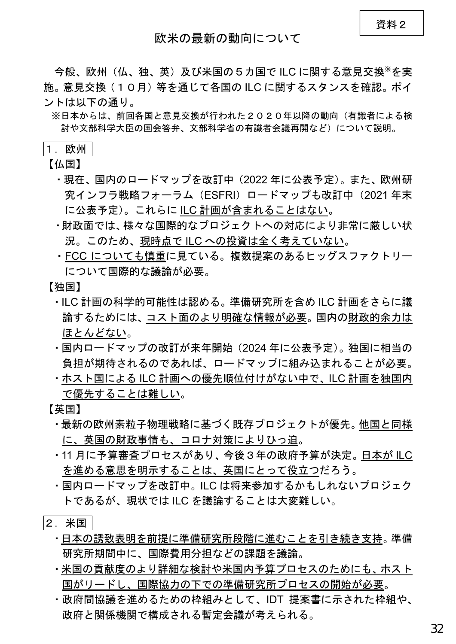今般、欧州(仏、独、英)及び米国の5カ国で ILC に関する意見交換※を実 施。意見交換(10月)等を通じて各国の ILC に関するスタンスを確認。ポイ ントは以下の通り。

※日本からは、前回各国と意見交換が行われた2020年以降の動向(有識者による検 討や文部科学大臣の国会答弁、文部科学省の有識者会議再開など)について説明。

## 1. 欧州

【仏国】

- ・現在、国内のロードマップを改訂中(2022 年に公表予定)。また、欧州研 究インフラ戦略フォーラム(ESFRI)ロードマップも改訂中(2021 年末 に公表予定)。これらに ILC 計画が含まれることはない。
- ・財政面では、様々な国際的なプロジェクトへの対応により非常に厳しい状 況。このため、現時点で ILC への投資は全く考えていない。
- ・FCC についても慎重に見ている。複数提案のあるヒッグスファクトリー について国際的な議論が必要。

【独国】

- ・ILC 計画の科学的可能性は認める。準備研究所を含め ILC 計画をさらに議 論するためには、コスト面のより明確な情報が必要。国内の財政的余力は ほとんどない。
- ・国内ロードマップの改訂が来年開始(2024 年に公表予定)。独国に相当の 負担が期待されるのであれば、ロードマップに組み込まれることが必要。
- ・ホスト国による ILC 計画への優先順位付けがない中で、ILC 計画を独国内 で優先することは難しい。

【英国】

- ・最新の欧州素粒子物理戦略に基づく既存プロジェクトが優先。他国と同様 に、英国の財政事情も、コロナ対策によりひっ迫。
- ・11 月に予算審査プロセスがあり、今後3年の政府予算が決定。日本が ILC を進める意思を明示することは、英国にとって役立つだろう。
- ・国内ロードマップを改訂中。ILC は将来参加するかもしれないプロジェク トであるが、現状では ILC を議論することは大変難しい。
- 2.米国
	- ・日本の誘致表明を前提に準備研究所段階に進むことを引き続き支持。準備 研究所期間中に、国際費用分担などの課題を議論。
	- ・米国の貢献度のより詳細な検討や米国内予算プロセスのためにも、ホスト 国がリードし、国際協力の下での準備研究所プロセスの開始が必要。
	- ・政府間協議を進めるための枠組みとして、IDT 提案書に示された枠組や、 政府と関係機関で構成される暫定会議が考えられる。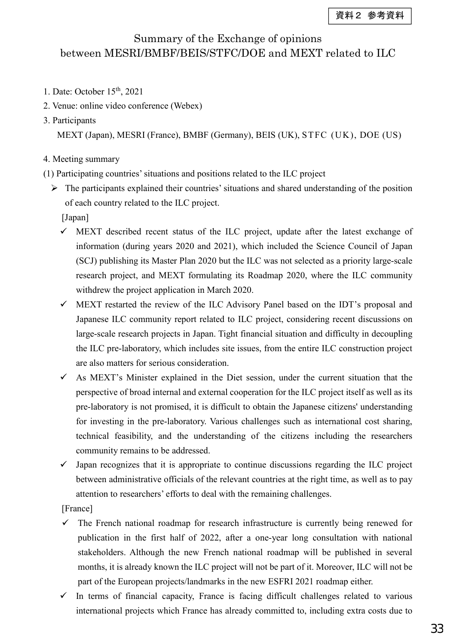## Summary of the Exchange of opinions between MESRI/BMBF/BEIS/STFC/DOE and MEXT related to ILC

- 1. Date: October 15<sup>th</sup>, 2021
- 2. Venue: online video conference (Webex)
- 3. Participants

MEXT (Japan), MESRI (France), BMBF (Germany), BEIS (UK), STFC (UK), DOE (US)

- 4. Meeting summary
- (1) Participating countries'situations and positions related to the ILC project
	- $\triangleright$  The participants explained their countries' situations and shared understanding of the position of each country related to the ILC project.

[Japan]

- $\checkmark$  MEXT described recent status of the ILC project, update after the latest exchange of information (during years 2020 and 2021), which included the Science Council of Japan (SCJ) publishing its Master Plan 2020 but the ILC was not selected as a priority large-scale research project, and MEXT formulating its Roadmap 2020, where the ILC community withdrew the project application in March 2020.
- $\checkmark$  MEXT restarted the review of the ILC Advisory Panel based on the IDT's proposal and Japanese ILC community report related to ILC project, considering recent discussions on large-scale research projects in Japan. Tight financial situation and difficulty in decoupling the ILC pre-laboratory, which includes site issues, from the entire ILC construction project are also matters for serious consideration.
- $\checkmark$  As MEXT's Minister explained in the Diet session, under the current situation that the perspective of broad internal and external cooperation for the ILC project itself as well as its pre-laboratory is not promised, it is difficult to obtain the Japanese citizens' understanding for investing in the pre-laboratory. Various challenges such as international cost sharing, technical feasibility, and the understanding of the citizens including the researchers community remains to be addressed.
- $\checkmark$  Japan recognizes that it is appropriate to continue discussions regarding the ILC project between administrative officials of the relevant countries at the right time, as well as to pay attention to researchers' efforts to deal with the remaining challenges.

[France]

- $\checkmark$ The French national roadmap for research infrastructure is currently being renewed for publication in the first half of 2022, after a one-year long consultation with national stakeholders. Although the new French national roadmap will be published in several months, it is already known the ILC project will not be part of it. Moreover, ILC will not be part of the European projects/landmarks in the new ESFRI 2021 roadmap either.
- $\checkmark$ In terms of financial capacity, France is facing difficult challenges related to various international projects which France has already committed to, including extra costs due to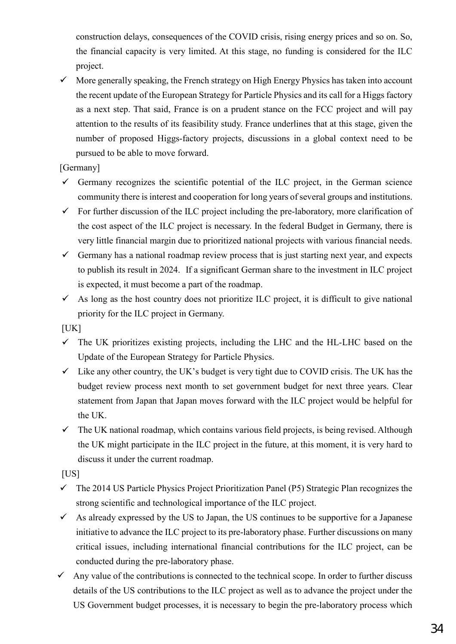construction delays, consequences of the COVID crisis, rising energy prices and so on. So, the financial capacity is very limited. At this stage, no funding is considered for the ILC project.

 $\checkmark$  More generally speaking, the French strategy on High Energy Physics has taken into account the recent update of the European Strategy for Particle Physics and its call for a Higgs factory as a next step. That said, France is on a prudent stance on the FCC project and will pay attention to the results of its feasibility study. France underlines that at this stage, given the number of proposed Higgs-factory projects, discussions in a global context need to be pursued to be able to move forward.

[Germany]

- $\checkmark$  Germany recognizes the scientific potential of the ILC project, in the German science community there is interest and cooperation for long years of several groups and institutions.
- $\checkmark$  For further discussion of the ILC project including the pre-laboratory, more clarification of the cost aspect of the ILC project is necessary. In the federal Budget in Germany, there is very little financial margin due to prioritized national projects with various financial needs.
- Germany has a national roadmap review process that is just starting next year, and expects to publish its result in 2024. If a significant German share to the investment in ILC project is expected, it must become a part of the roadmap.
- $\checkmark$  As long as the host country does not prioritize ILC project, it is difficult to give national priority for the ILC project in Germany.

 $[UK]$ 

- $\checkmark$  The UK prioritizes existing projects, including the LHC and the HL-LHC based on the Update of the European Strategy for Particle Physics.
- $\checkmark$  Like any other country, the UK's budget is very tight due to COVID crisis. The UK has the budget review process next month to set government budget for next three years. Clear statement from Japan that Japan moves forward with the ILC project would be helpful for the UK.
- $\checkmark$  The UK national roadmap, which contains various field projects, is being revised. Although the UK might participate in the ILC project in the future, at this moment, it is very hard to discuss it under the current roadmap.

[US]

- $\checkmark$  The 2014 US Particle Physics Project Prioritization Panel (P5) Strategic Plan recognizes the strong scientific and technological importance of the ILC project.
- $\checkmark$  As already expressed by the US to Japan, the US continues to be supportive for a Japanese initiative to advance the ILC project to its pre-laboratory phase. Further discussions on many critical issues, including international financial contributions for the ILC project, can be conducted during the pre-laboratory phase.
- Any value of the contributions is connected to the technical scope. In order to further discuss details of the US contributions to the ILC project as well as to advance the project under the US Government budget processes, it is necessary to begin the pre-laboratory process which